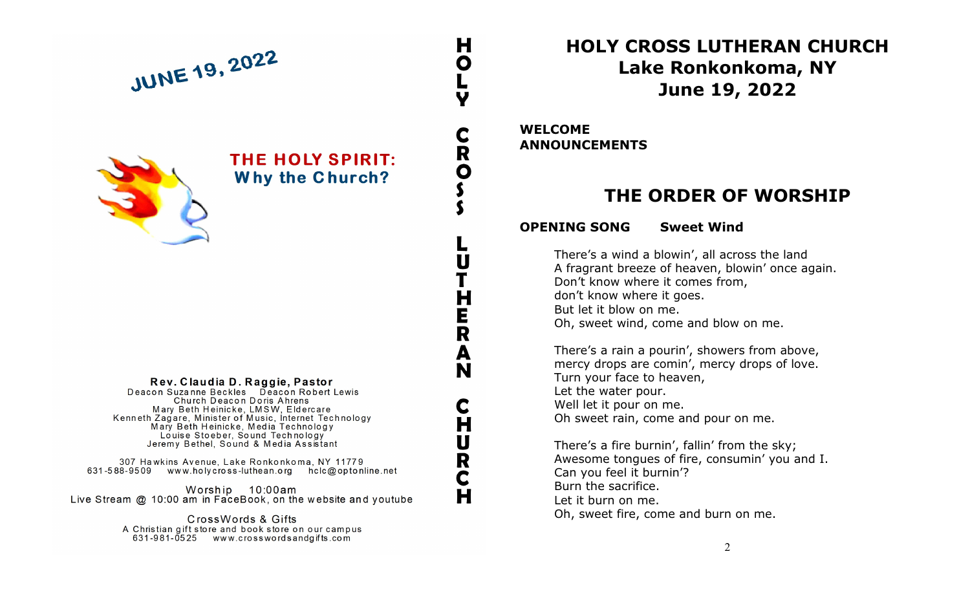JUNE 19, 2022

THE HOLY SPIRIT: Why the Church?

#### Rev. Claudia D. Raggie, Pastor

Deacon Suzanne Beckles Deacon Robert Lewis Church Deacon Doris Ahrens Mary Beth Heinicke, LMSW, Eldercare Kenneth Zagare, Minister of Music, Internet Technology Mary Beth Heinicke, Media Technology Louise Stoeber, Sound Technology Jeremy Bethel, Sound & Media Assistant

307 Hawkins Avenue, Lake Ronkonkoma, NY 11779 631-588-9509 www.holycross-luthean.org hclc@optonline.net

Worship 10:00am Live Stream @ 10:00 am in FaceBook, on the website and youtube

> CrossWords & Gifts A Christian gift store and book store on our campus 631-981-0525 www.crosswordsandgifts.com

# **HOLY CROSS LUTHERAN CHURCH Lake Ronkonkoma, NY June 19, 2022**

**WELCOME ANNOUNCEMENTS**

н

O

Y

C<br>R<br>O

U Ť

**HER** 

A N

C

 $\overline{\mathbf{H}}$ 

U<br>R<br>C<br>H

## **THE ORDER OF WORSHIP**

#### **OPENING SONG Sweet Wind**

There's a wind a blowin', all across the land A fragrant breeze of heaven, blowin' once again. Don't know where it comes from, don't know where it goes. But let it blow on me. Oh, sweet wind, come and blow on me.

There's a rain a pourin', showers from above, mercy drops are comin', mercy drops of love. Turn your face to heaven, Let the water pour. Well let it pour on me. Oh sweet rain, come and pour on me.

There's a fire burnin', fallin' from the sky; Awesome tongues of fire, consumin' you and I. Can you feel it burnin'? Burn the sacrifice. Let it burn on me. Oh, sweet fire, come and burn on me.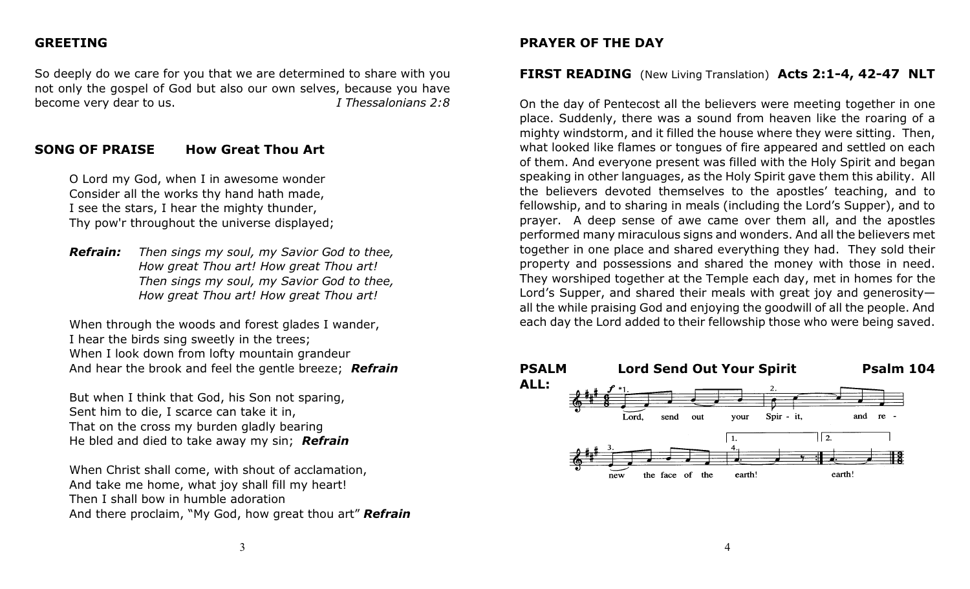### **GREETING**

So deeply do we care for you that we are determined to share with you not only the gospel of God but also our own selves, because you have become very dear to us. *I Thessalonians 2:8*

### **SONG OF PRAISE How Great Thou Art**

O Lord my God, when I in awesome wonder Consider all the works thy hand hath made, I see the stars, I hear the mighty thunder, Thy pow'r throughout the universe displayed;

*Refrain: Then sings my soul, my Savior God to thee, How great Thou art! How great Thou art! Then sings my soul, my Savior God to thee, How great Thou art! How great Thou art!*

When through the woods and forest glades I wander, I hear the birds sing sweetly in the trees; When I look down from lofty mountain grandeur And hear the brook and feel the gentle breeze; *Refrain*

But when I think that God, his Son not sparing, Sent him to die, I scarce can take it in, That on the cross my burden gladly bearing He bled and died to take away my sin; *Refrain*

When Christ shall come, with shout of acclamation, And take me home, what joy shall fill my heart! Then I shall bow in humble adoration And there proclaim, "My God, how great thou art" *Refrain*

### **PRAYER OF THE DAY**

### **FIRST READING** (New Living Translation) **Acts 2:1-4, 42-47 NLT**

On the day of Pentecost all the believers were meeting together in one place. Suddenly, there was a sound from heaven like the roaring of a mighty windstorm, and it filled the house where they were sitting. Then, what looked like flames or tongues of fire appeared and settled on each of them. And everyone present was filled with the Holy Spirit and began speaking in other languages, as the Holy Spirit gave them this ability. All the believers devoted themselves to the apostles' teaching, and to fellowship, and to sharing in meals (including the Lord's Supper), and to prayer. A deep sense of awe came over them all, and the apostles performed many miraculous signs and wonders. And all the believers met together in one place and shared everything they had. They sold their property and possessions and shared the money with those in need. They worshiped together at the Temple each day, met in homes for the Lord's Supper, and shared their meals with great joy and generosity all the while praising God and enjoying the goodwill of all the people. And each day the Lord added to their fellowship those who were being saved.

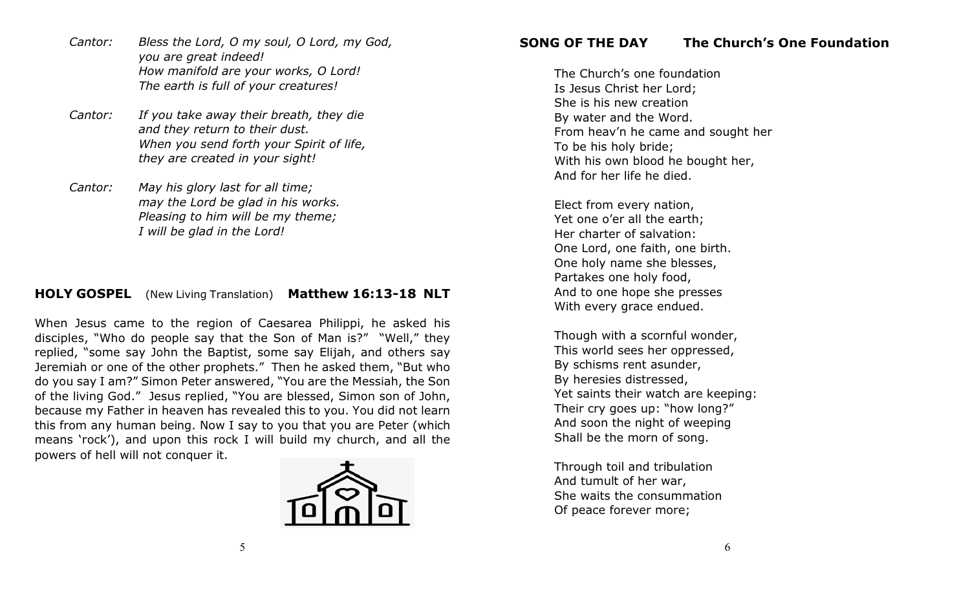*Cantor: Bless the Lord, O my soul, O Lord, my God, you are great indeed! How manifold are your works, O Lord! The earth is full of your creatures!*

*Cantor: If you take away their breath, they die and they return to their dust. When you send forth your Spirit of life, they are created in your sight!*

*Cantor: May his glory last for all time; may the Lord be glad in his works. Pleasing to him will be my theme; I will be glad in the Lord!*

### **HOLY GOSPEL** (New Living Translation) **Matthew 16:13-18 NLT**

When Jesus came to the region of Caesarea Philippi, he asked his disciples, "Who do people say that the Son of Man is?" "Well," they replied, "some say John the Baptist, some say Elijah, and others say Jeremiah or one of the other prophets." Then he asked them, "But who do you say I am?" Simon Peter answered, "You are the Messiah, the Son of the living God." Jesus replied, "You are blessed, Simon son of John, because my Father in heaven has revealed this to you. You did not learn this from any human being. Now I say to you that you are Peter (which means 'rock'), and upon this rock I will build my church, and all the powers of hell will not conquer it.



## **SONG OF THE DAY The Church's One Foundation**

The Church's one foundation Is Jesus Christ her Lord; She is his new creation By water and the Word. From heav'n he came and sought her To be his holy bride; With his own blood he bought her, And for her life he died.

Elect from every nation, Yet one o'er all the earth; Her charter of salvation: One Lord, one faith, one birth. One holy name she blesses, Partakes one holy food, And to one hope she presses With every grace endued.

Though with a scornful wonder, This world sees her oppressed, By schisms rent asunder, By heresies distressed, Yet saints their watch are keeping: Their cry goes up: "how long?" And soon the night of weeping Shall be the morn of song.

Through toil and tribulation And tumult of her war, She waits the consummation Of peace forever more;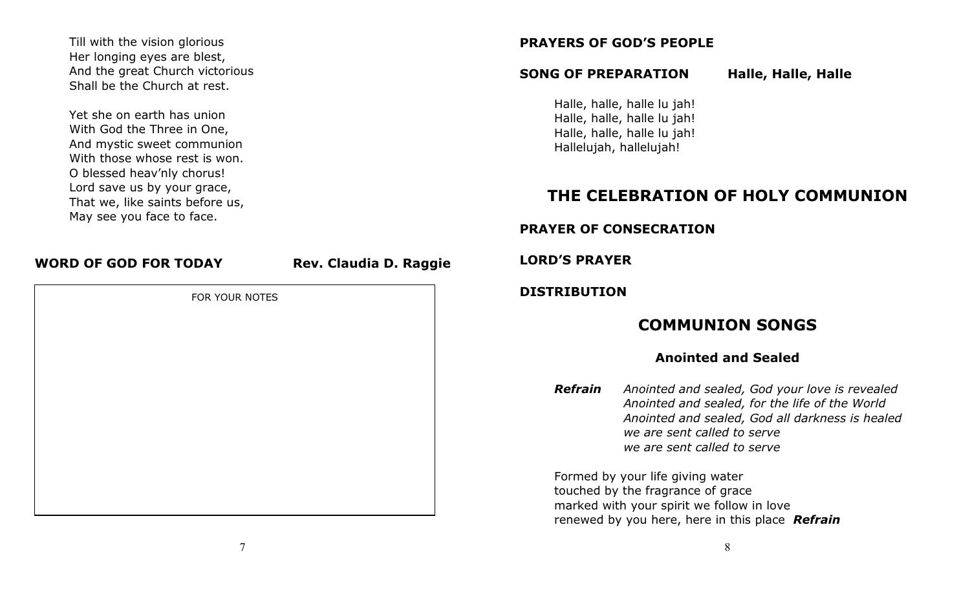Till with the vision glorious Her longing eyes are blest, And the great Church victorious Shall be the Church at rest.

Yet she on earth has union With God the Three in One, And mystic sweet communion With those whose rest is won. O blessed heav'nly chorus! Lord save us by your grace, That we, like saints before us, May see you face to face.

### **WORD OF GOD FOR TODAY Rev. Claudia D. Raggie**

FOR YOUR NOTES

### **PRAYERS OF GOD'S PEOPLE**

### **SONG OF PREPARATION Halle, Halle, Halle**

Halle, halle, halle lu jah! Halle, halle, halle lu jah! Halle, halle, halle lu jah! Hallelujah, hallelujah!

## **THE CELEBRATION OF HOLY COMMUNION**

### **PRAYER OF CONSECRATION**

**LORD'S PRAYER**

### **DISTRIBUTION**

## **COMMUNION SONGS**

### **Anointed and Sealed**

*Refrain Anointed and sealed, God your love is revealed Anointed and sealed, for the life of the World Anointed and sealed, God all darkness is healed we are sent called to serve we are sent called to serve*

Formed by your life giving water touched by the fragrance of grace marked with your spirit we follow in love renewed by you here, here in this place *Refrain*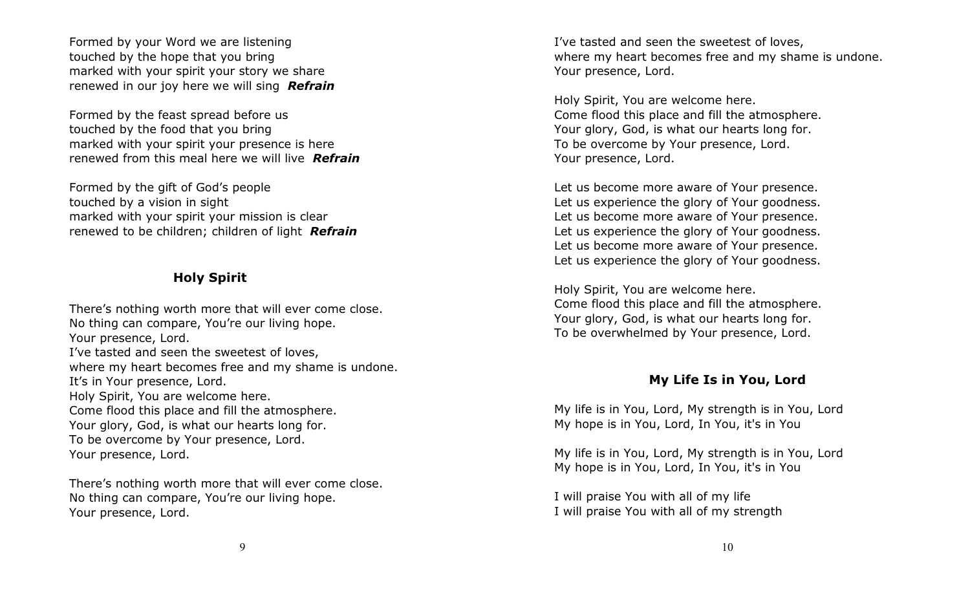Formed by your Word we are listening touched by the hope that you bring marked with your spirit your story we share renewed in our joy here we will sing *Refrain*

Formed by the feast spread before us touched by the food that you bring marked with your spirit your presence is here renewed from this meal here we will live *Refrain*

Formed by the gift of God's people touched by a vision in sight marked with your spirit your mission is clear renewed to be children; children of light *Refrain*

### **Holy Spirit**

There's nothing worth more that will ever come close. No thing can compare, You're our living hope. Your presence, Lord. I've tasted and seen the sweetest of loves, where my heart becomes free and my shame is undone. It's in Your presence, Lord. Holy Spirit, You are welcome here. Come flood this place and fill the atmosphere. Your glory, God, is what our hearts long for. To be overcome by Your presence, Lord. Your presence, Lord.

There's nothing worth more that will ever come close. No thing can compare, You're our living hope. Your presence, Lord.

I've tasted and seen the sweetest of loves, where my heart becomes free and my shame is undone. Your presence, Lord.

Holy Spirit, You are welcome here. Come flood this place and fill the atmosphere. Your glory, God, is what our hearts long for. To be overcome by Your presence, Lord. Your presence, Lord.

Let us become more aware of Your presence. Let us experience the glory of Your goodness. Let us become more aware of Your presence. Let us experience the glory of Your goodness. Let us become more aware of Your presence. Let us experience the glory of Your goodness.

Holy Spirit, You are welcome here. Come flood this place and fill the atmosphere. Your glory, God, is what our hearts long for. To be overwhelmed by Your presence, Lord.

## **My Life Is in You, Lord**

My life is in You, Lord, My strength is in You, Lord My hope is in You, Lord, In You, it's in You

My life is in You, Lord, My strength is in You, Lord My hope is in You, Lord, In You, it's in You

I will praise You with all of my life I will praise You with all of my strength